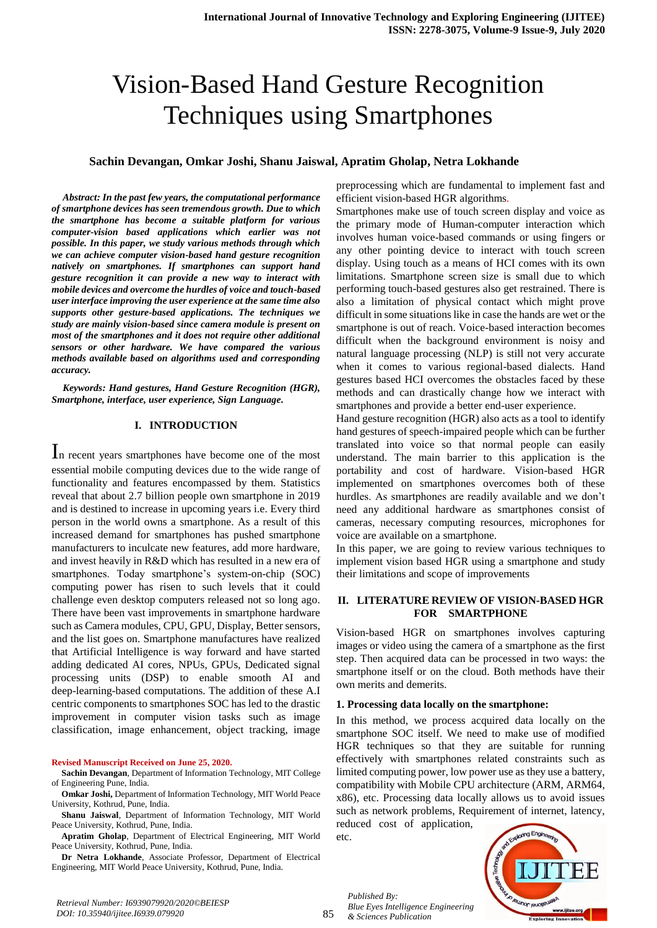# Vision-Based Hand Gesture Recognition Techniques using Smartphones

## **Sachin Devangan, Omkar Joshi, Shanu Jaiswal, Apratim Gholap, Netra Lokhande**

*Abstract: In the past few years, the computational performance of smartphone devices has seen tremendous growth. Due to which the smartphone has become a suitable platform for various computer-vision based applications which earlier was not possible. In this paper, we study various methods through which we can achieve computer vision-based hand gesture recognition natively on smartphones. If smartphones can support hand gesture recognition it can provide a new way to interact with mobile devices and overcome the hurdles of voice and touch-based user interface improving the user experience at the same time also supports other gesture-based applications. The techniques we study are mainly vision-based since camera module is present on most of the smartphones and it does not require other additional sensors or other hardware. We have compared the various methods available based on algorithms used and corresponding accuracy.*

*Keywords: Hand gestures, Hand Gesture Recognition (HGR), Smartphone, interface, user experience, Sign Language.* 

#### **I. INTRODUCTION**

In recent years smartphones have become one of the most essential mobile computing devices due to the wide range of functionality and features encompassed by them. Statistics reveal that about 2.7 billion people own smartphone in 2019 and is destined to increase in upcoming years i.e. Every third person in the world owns a smartphone. As a result of this increased demand for smartphones has pushed smartphone manufacturers to inculcate new features, add more hardware, and invest heavily in R&D which has resulted in a new era of smartphones. Today smartphone's system-on-chip (SOC) computing power has risen to such levels that it could challenge even desktop computers released not so long ago. There have been vast improvements in smartphone hardware such as Camera modules, CPU, GPU, Display, Better sensors, and the list goes on. Smartphone manufactures have realized that Artificial Intelligence is way forward and have started adding dedicated AI cores, NPUs, GPUs, Dedicated signal processing units (DSP) to enable smooth AI and deep-learning-based computations. The addition of these A.I centric components to smartphones SOC has led to the drastic improvement in computer vision tasks such as image classification, image enhancement, object tracking, image

#### **Revised Manuscript Received on June 25, 2020.**

**Sachin Devangan**, Department of Information Technology, MIT College of Engineering Pune, India.

**Apratim Gholap**, Department of Electrical Engineering, MIT World Peace University, Kothrud, Pune, India.

**Dr Netra Lokhande**, Associate Professor, Department of Electrical Engineering, MIT World Peace University, Kothrud, Pune, India.

preprocessing which are fundamental to implement fast and efficient vision-based HGR algorithms.

Smartphones make use of touch screen display and voice as the primary mode of Human-computer interaction which involves human voice-based commands or using fingers or any other pointing device to interact with touch screen display. Using touch as a means of HCI comes with its own limitations. Smartphone screen size is small due to which performing touch-based gestures also get restrained. There is also a limitation of physical contact which might prove difficult in some situations like in case the hands are wet or the smartphone is out of reach. Voice-based interaction becomes difficult when the background environment is noisy and natural language processing (NLP) is still not very accurate when it comes to various regional-based dialects. Hand gestures based HCI overcomes the obstacles faced by these methods and can drastically change how we interact with smartphones and provide a better end-user experience.

Hand gesture recognition (HGR) also acts as a tool to identify hand gestures of speech-impaired people which can be further translated into voice so that normal people can easily understand. The main barrier to this application is the portability and cost of hardware. Vision-based HGR implemented on smartphones overcomes both of these hurdles. As smartphones are readily available and we don't need any additional hardware as smartphones consist of cameras, necessary computing resources, microphones for voice are available on a smartphone.

In this paper, we are going to review various techniques to implement vision based HGR using a smartphone and study their limitations and scope of improvements

## **II. LITERATURE REVIEW OF VISION-BASED HGR FOR SMARTPHONE**

Vision-based HGR on smartphones involves capturing images or video using the camera of a smartphone as the first step. Then acquired data can be processed in two ways: the smartphone itself or on the cloud. Both methods have their own merits and demerits.

#### **1. Processing data locally on the smartphone:**

In this method, we process acquired data locally on the smartphone SOC itself. We need to make use of modified HGR techniques so that they are suitable for running effectively with smartphones related constraints such as limited computing power, low power use as they use a battery, compatibility with Mobile CPU architecture (ARM, ARM64, x86), etc. Processing data locally allows us to avoid issues such as network problems, Requirement of internet, latency, reduced cost of application,

etc.

*Published By:*

*& Sciences Publication* 

*Blue Eyes Intelligence Engineering* 



**Omkar Joshi,** Department of Information Technology, MIT World Peace University, Kothrud, Pune, India.

**Shanu Jaiswal**, Department of Information Technology, MIT World Peace University, Kothrud, Pune, India.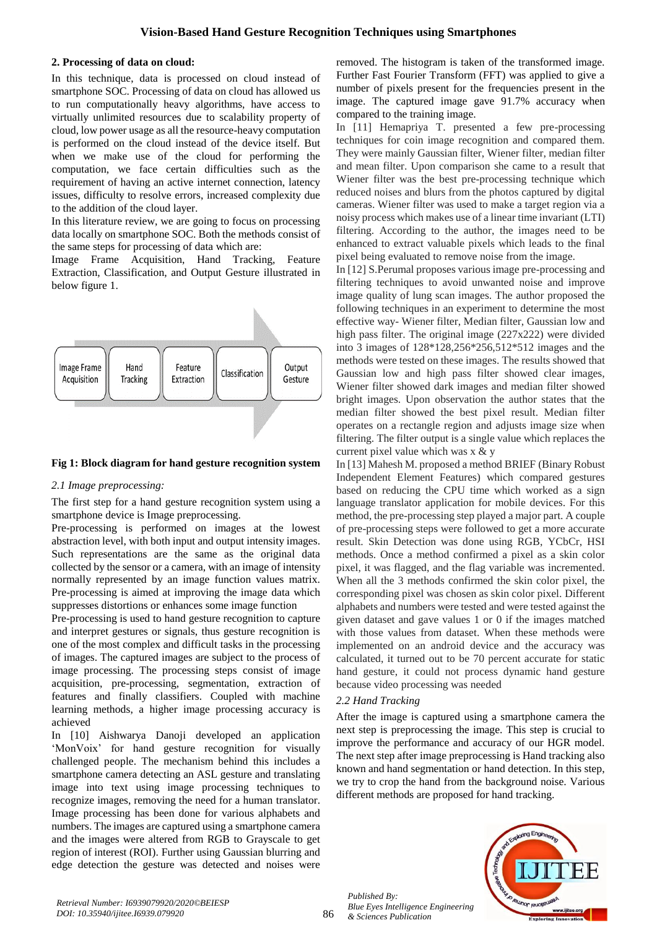## **2. Processing of data on cloud:**

In this technique, data is processed on cloud instead of smartphone SOC. Processing of data on cloud has allowed us to run computationally heavy algorithms, have access to virtually unlimited resources due to scalability property of cloud, low power usage as all the resource-heavy computation is performed on the cloud instead of the device itself. But when we make use of the cloud for performing the computation, we face certain difficulties such as the requirement of having an active internet connection, latency issues, difficulty to resolve errors, increased complexity due to the addition of the cloud layer.

In this literature review, we are going to focus on processing data locally on smartphone SOC. Both the methods consist of the same steps for processing of data which are:

Image Frame Acquisition, Hand Tracking, Feature Extraction, Classification, and Output Gesture illustrated in below figure 1.



### **Fig 1: Block diagram for hand gesture recognition system**

## *2.1 Image preprocessing:*

The first step for a hand gesture recognition system using a smartphone device is Image preprocessing.

Pre-processing is performed on images at the lowest abstraction level, with both input and output intensity images. Such representations are the same as the original data collected by the sensor or a camera, with an image of intensity normally represented by an image function values matrix. Pre-processing is aimed at improving the image data which suppresses distortions or enhances some image function

Pre-processing is used to hand gesture recognition to capture and interpret gestures or signals, thus gesture recognition is one of the most complex and difficult tasks in the processing of images. The captured images are subject to the process of image processing. The processing steps consist of image acquisition, pre-processing, segmentation, extraction of features and finally classifiers. Coupled with machine learning methods, a higher image processing accuracy is achieved

In [10] Aishwarya Danoji developed an application 'MonVoix' for hand gesture recognition for visually challenged people. The mechanism behind this includes a smartphone camera detecting an ASL gesture and translating image into text using image processing techniques to recognize images, removing the need for a human translator. Image processing has been done for various alphabets and numbers. The images are captured using a smartphone camera and the images were altered from RGB to Grayscale to get region of interest (ROI). Further using Gaussian blurring and edge detection the gesture was detected and noises were removed. The histogram is taken of the transformed image. Further Fast Fourier Transform (FFT) was applied to give a number of pixels present for the frequencies present in the image. The captured image gave 91.7% accuracy when compared to the training image.

In [11] Hemapriya T. presented a few pre-processing techniques for coin image recognition and compared them. They were mainly Gaussian filter, Wiener filter, median filter and mean filter. Upon comparison she came to a result that Wiener filter was the best pre-processing technique which reduced noises and blurs from the photos captured by digital cameras. Wiener filter was used to make a target region via a noisy process which makes use of a linear time invariant (LTI) filtering. According to the author, the images need to be enhanced to extract valuable pixels which leads to the final pixel being evaluated to remove noise from the image.

In [12] S.Perumal proposes various image pre-processing and filtering techniques to avoid unwanted noise and improve image quality of lung scan images. The author proposed the following techniques in an experiment to determine the most effective way- Wiener filter, Median filter, Gaussian low and high pass filter. The original image (227x222) were divided into 3 images of 128\*128,256\*256,512\*512 images and the methods were tested on these images. The results showed that Gaussian low and high pass filter showed clear images, Wiener filter showed dark images and median filter showed bright images. Upon observation the author states that the median filter showed the best pixel result. Median filter operates on a rectangle region and adjusts image size when filtering. The filter output is a single value which replaces the current pixel value which was x & y

In [13] Mahesh M. proposed a method BRIEF (Binary Robust Independent Element Features) which compared gestures based on reducing the CPU time which worked as a sign language translator application for mobile devices. For this method, the pre-processing step played a major part. A couple of pre-processing steps were followed to get a more accurate result. Skin Detection was done using RGB, YCbCr, HSI methods. Once a method confirmed a pixel as a skin color pixel, it was flagged, and the flag variable was incremented. When all the 3 methods confirmed the skin color pixel, the corresponding pixel was chosen as skin color pixel. Different alphabets and numbers were tested and were tested against the given dataset and gave values 1 or 0 if the images matched with those values from dataset. When these methods were implemented on an android device and the accuracy was calculated, it turned out to be 70 percent accurate for static hand gesture, it could not process dynamic hand gesture because video processing was needed

## *2.2 Hand Tracking*

After the image is captured using a smartphone camera the next step is preprocessing the image. This step is crucial to improve the performance and accuracy of our HGR model. The next step after image preprocessing is Hand tracking also known and hand segmentation or hand detection. In this step, we try to crop the hand from the background noise. Various different methods are proposed for hand tracking.



*Published By: Blue Eyes Intelligence Engineering & Sciences Publication*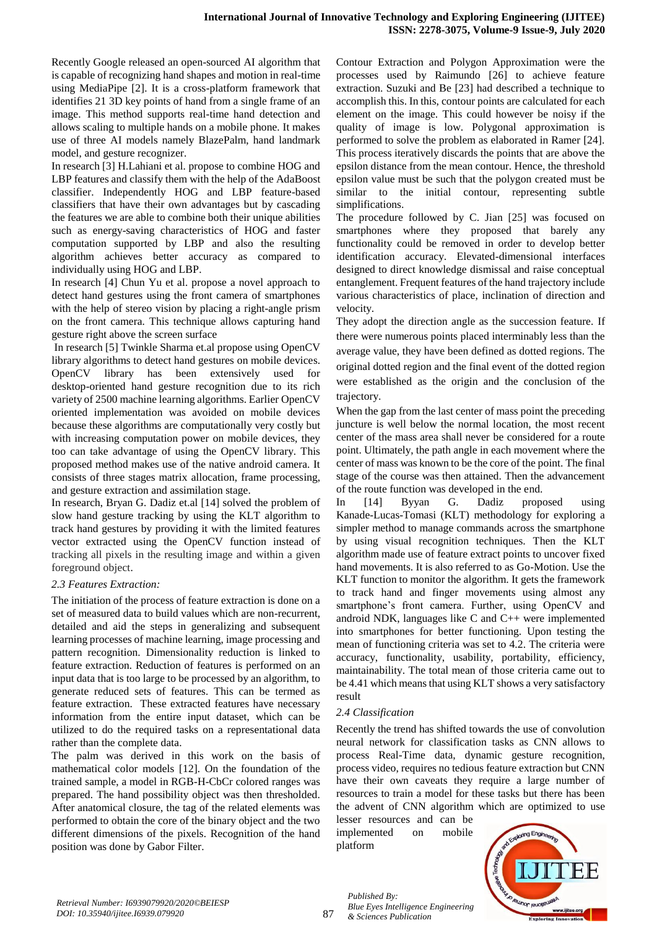Recently Google released an open-sourced AI algorithm that is capable of recognizing hand shapes and motion in real-time using MediaPipe [2]. It is a cross-platform framework that identifies 21 3D key points of hand from a single frame of an image. This method supports real-time hand detection and allows scaling to multiple hands on a mobile phone. It makes use of three AI models namely BlazePalm, hand landmark model, and gesture recognizer.

In research [3] H.Lahiani et al. propose to combine HOG and LBP features and classify them with the help of the AdaBoost classifier. Independently HOG and LBP feature-based classifiers that have their own advantages but by cascading the features we are able to combine both their unique abilities such as energy-saving characteristics of HOG and faster computation supported by LBP and also the resulting algorithm achieves better accuracy as compared to individually using HOG and LBP.

In research [4] Chun Yu et al. propose a novel approach to detect hand gestures using the front camera of smartphones with the help of stereo vision by placing a right-angle prism on the front camera. This technique allows capturing hand gesture right above the screen surface

In research [5] Twinkle Sharma et.al propose using OpenCV library algorithms to detect hand gestures on mobile devices. OpenCV library has been extensively used for desktop-oriented hand gesture recognition due to its rich variety of 2500 machine learning algorithms. Earlier OpenCV oriented implementation was avoided on mobile devices because these algorithms are computationally very costly but with increasing computation power on mobile devices, they too can take advantage of using the OpenCV library. This proposed method makes use of the native android camera. It consists of three stages matrix allocation, frame processing, and gesture extraction and assimilation stage.

In research, Bryan G. Dadiz et.al [14] solved the problem of slow hand gesture tracking by using the KLT algorithm to track hand gestures by providing it with the limited features vector extracted using the OpenCV function instead of tracking all pixels in the resulting image and within a given foreground object.

## *2.3 Features Extraction:*

The initiation of the process of feature extraction is done on a set of measured data to build values which are non-recurrent, detailed and aid the steps in generalizing and subsequent learning processes of machine learning, image processing and pattern recognition. Dimensionality reduction is linked to feature extraction. Reduction of features is performed on an input data that is too large to be processed by an algorithm, to generate reduced sets of features. This can be termed as feature extraction. These extracted features have necessary information from the entire input dataset, which can be utilized to do the required tasks on a representational data rather than the complete data.

The palm was derived in this work on the basis of mathematical color models [12]. On the foundation of the trained sample, a model in RGB-H-CbCr colored ranges was prepared. The hand possibility object was then thresholded. After anatomical closure, the tag of the related elements was performed to obtain the core of the binary object and the two different dimensions of the pixels. Recognition of the hand position was done by Gabor Filter.

Contour Extraction and Polygon Approximation were the processes used by Raimundo [26] to achieve feature extraction. Suzuki and Be [23] had described a technique to accomplish this. In this, contour points are calculated for each element on the image. This could however be noisy if the quality of image is low. Polygonal approximation is performed to solve the problem as elaborated in Ramer [24]. This process iteratively discards the points that are above the epsilon distance from the mean contour. Hence, the threshold epsilon value must be such that the polygon created must be similar to the initial contour, representing subtle simplifications.

The procedure followed by C. Jian [25] was focused on smartphones where they proposed that barely any functionality could be removed in order to develop better identification accuracy. Elevated-dimensional interfaces designed to direct knowledge dismissal and raise conceptual entanglement. Frequent features of the hand trajectory include various characteristics of place, inclination of direction and velocity.

They adopt the direction angle as the succession feature. If there were numerous points placed interminably less than the average value, they have been defined as dotted regions. The original dotted region and the final event of the dotted region were established as the origin and the conclusion of the trajectory.

When the gap from the last center of mass point the preceding juncture is well below the normal location, the most recent center of the mass area shall never be considered for a route point. Ultimately, the path angle in each movement where the center of mass was known to be the core of the point. The final stage of the course was then attained. Then the advancement of the route function was developed in the end.

In [14] Byyan G. Dadiz proposed using Kanade-Lucas-Tomasi (KLT) methodology for exploring a simpler method to manage commands across the smartphone by using visual recognition techniques. Then the KLT algorithm made use of feature extract points to uncover fixed hand movements. It is also referred to as Go-Motion. Use the KLT function to monitor the algorithm. It gets the framework to track hand and finger movements using almost any smartphone's front camera. Further, using OpenCV and android NDK, languages like C and C++ were implemented into smartphones for better functioning. Upon testing the mean of functioning criteria was set to 4.2. The criteria were accuracy, functionality, usability, portability, efficiency, maintainability. The total mean of those criteria came out to be 4.41 which means that using KLT shows a very satisfactory result

## *2.4 Classification*

Recently the trend has shifted towards the use of convolution neural network for classification tasks as CNN allows to process Real-Time data, dynamic gesture recognition, process video, requires no tedious feature extraction but CNN have their own caveats they require a large number of resources to train a model for these tasks but there has been the advent of CNN algorithm which are optimized to use

lesser resources and can be implemented on mobile platform



*Blue Eyes Intelligence Engineering & Sciences Publication* 

*Published By:*

87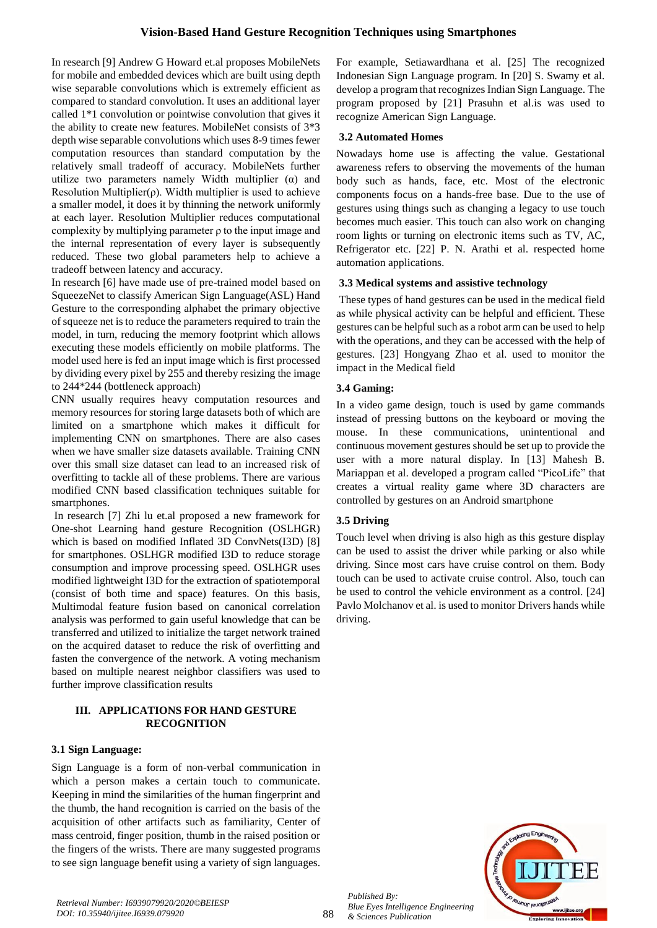## **Vision-Based Hand Gesture Recognition Techniques using Smartphones**

In research [9] Andrew G Howard et.al proposes MobileNets for mobile and embedded devices which are built using depth wise separable convolutions which is extremely efficient as compared to standard convolution. It uses an additional layer called 1\*1 convolution or pointwise convolution that gives it the ability to create new features. MobileNet consists of 3\*3 depth wise separable convolutions which uses 8-9 times fewer computation resources than standard computation by the relatively small tradeoff of accuracy. MobileNets further utilize two parameters namely Width multiplier  $(\alpha)$  and Resolution Multiplier( $\rho$ ). Width multiplier is used to achieve a smaller model, it does it by thinning the network uniformly at each layer. Resolution Multiplier reduces computational complexity by multiplying parameter ρ to the input image and the internal representation of every layer is subsequently reduced. These two global parameters help to achieve a tradeoff between latency and accuracy.

In research [6] have made use of pre-trained model based on SqueezeNet to classify American Sign Language(ASL) Hand Gesture to the corresponding alphabet the primary objective of squeeze net is to reduce the parameters required to train the model, in turn, reducing the memory footprint which allows executing these models efficiently on mobile platforms. The model used here is fed an input image which is first processed by dividing every pixel by 255 and thereby resizing the image to 244\*244 (bottleneck approach)

CNN usually requires heavy computation resources and memory resources for storing large datasets both of which are limited on a smartphone which makes it difficult for implementing CNN on smartphones. There are also cases when we have smaller size datasets available. Training CNN over this small size dataset can lead to an increased risk of overfitting to tackle all of these problems. There are various modified CNN based classification techniques suitable for smartphones.

In research [7] Zhi lu et.al proposed a new framework for One-shot Learning hand gesture Recognition (OSLHGR) which is based on modified Inflated 3D ConvNets(I3D) [8] for smartphones. OSLHGR modified I3D to reduce storage consumption and improve processing speed. OSLHGR uses modified lightweight I3D for the extraction of spatiotemporal (consist of both time and space) features. On this basis, Multimodal feature fusion based on canonical correlation analysis was performed to gain useful knowledge that can be transferred and utilized to initialize the target network trained on the acquired dataset to reduce the risk of overfitting and fasten the convergence of the network. A voting mechanism based on multiple nearest neighbor classifiers was used to further improve classification results

## **III. APPLICATIONS FOR HAND GESTURE RECOGNITION**

## **3.1 Sign Language:**

Sign Language is a form of non-verbal communication in which a person makes a certain touch to communicate. Keeping in mind the similarities of the human fingerprint and the thumb, the hand recognition is carried on the basis of the acquisition of other artifacts such as familiarity, Center of mass centroid, finger position, thumb in the raised position or the fingers of the wrists. There are many suggested programs to see sign language benefit using a variety of sign languages.

For example, Setiawardhana et al. [25] The recognized Indonesian Sign Language program. In [20] S. Swamy et al. develop a program that recognizes Indian Sign Language. The program proposed by [21] Prasuhn et al.is was used to recognize American Sign Language.

### **3.2 Automated Homes**

Nowadays home use is affecting the value. Gestational awareness refers to observing the movements of the human body such as hands, face, etc. Most of the electronic components focus on a hands-free base. Due to the use of gestures using things such as changing a legacy to use touch becomes much easier. This touch can also work on changing room lights or turning on electronic items such as TV, AC, Refrigerator etc. [22] P. N. Arathi et al. respected home automation applications.

#### **3.3 Medical systems and assistive technology**

These types of hand gestures can be used in the medical field as while physical activity can be helpful and efficient. These gestures can be helpful such as a robot arm can be used to help with the operations, and they can be accessed with the help of gestures. [23] Hongyang Zhao et al. used to monitor the impact in the Medical field

#### **3.4 Gaming:**

In a video game design, touch is used by game commands instead of pressing buttons on the keyboard or moving the mouse. In these communications, unintentional and continuous movement gestures should be set up to provide the user with a more natural display. In [13] Mahesh B. Mariappan et al. developed a program called "PicoLife" that creates a virtual reality game where 3D characters are controlled by gestures on an Android smartphone

## **3.5 Driving**

Touch level when driving is also high as this gesture display can be used to assist the driver while parking or also while driving. Since most cars have cruise control on them. Body touch can be used to activate cruise control. Also, touch can be used to control the vehicle environment as a control. [24] Pavlo Molchanov et al. is used to monitor Drivers hands while driving.



*Published By:*

*& Sciences Publication* 

*Blue Eyes Intelligence Engineering*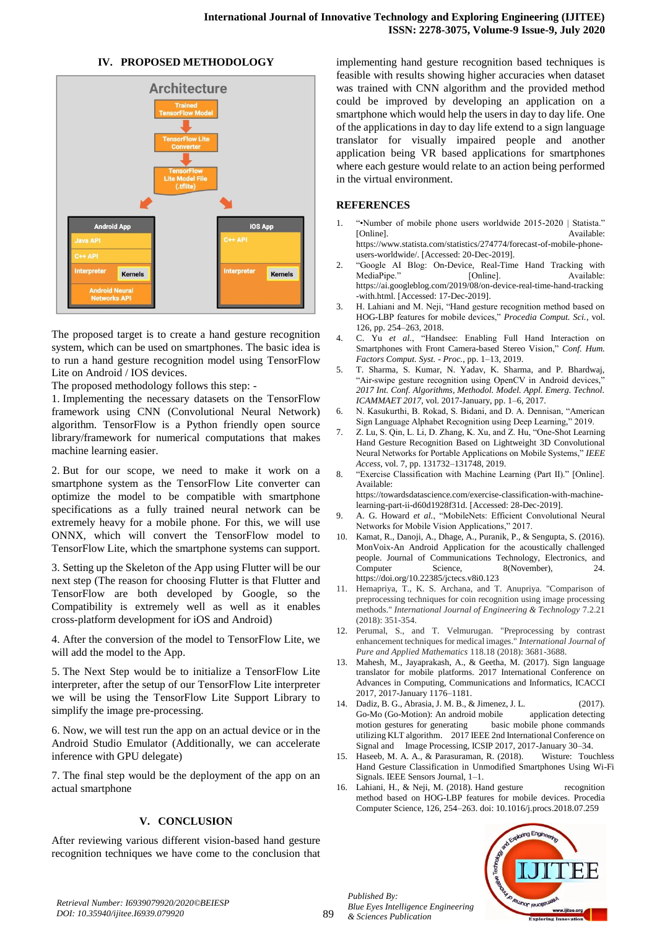## **IV. PROPOSED METHODOLOGY**



The proposed target is to create a hand gesture recognition system, which can be used on smartphones. The basic idea is to run a hand gesture recognition model using TensorFlow Lite on Android / IOS devices.

The proposed methodology follows this step: -

1. Implementing the necessary datasets on the TensorFlow framework using CNN (Convolutional Neural Network) algorithm. TensorFlow is a Python friendly open source library/framework for numerical computations that makes machine learning easier.

2. But for our scope, we need to make it work on a smartphone system as the TensorFlow Lite converter can optimize the model to be compatible with smartphone specifications as a fully trained neural network can be extremely heavy for a mobile phone. For this, we will use ONNX, which will convert the TensorFlow model to TensorFlow Lite, which the smartphone systems can support.

3. Setting up the Skeleton of the App using Flutter will be our next step (The reason for choosing Flutter is that Flutter and TensorFlow are both developed by Google, so the Compatibility is extremely well as well as it enables cross-platform development for iOS and Android)

4. After the conversion of the model to TensorFlow Lite, we will add the model to the App.

5. The Next Step would be to initialize a TensorFlow Lite interpreter, after the setup of our TensorFlow Lite interpreter we will be using the TensorFlow Lite Support Library to simplify the image pre-processing.

6. Now, we will test run the app on an actual device or in the Android Studio Emulator (Additionally, we can accelerate inference with GPU delegate)

7. The final step would be the deployment of the app on an actual smartphone

## **V. CONCLUSION**

After reviewing various different vision-based hand gesture recognition techniques we have come to the conclusion that implementing hand gesture recognition based techniques is feasible with results showing higher accuracies when dataset was trained with CNN algorithm and the provided method could be improved by developing an application on a smartphone which would help the users in day to day life. One of the applications in day to day life extend to a sign language translator for visually impaired people and another application being VR based applications for smartphones where each gesture would relate to an action being performed in the virtual environment.

## **REFERENCES**

- 1. "•Number of mobile phone users worldwide 2015-2020 | Statista." [Online]. Available: https://www.statista.com/statistics/274774/forecast-of-mobile-phoneusers-worldwide/. [Accessed: 20-Dec-2019].
- 2. "Google AI Blog: On-Device, Real-Time Hand Tracking with MediaPipe." [Online]. https://ai.googleblog.com/2019/08/on-device-real-time-hand-tracking -with.html. [Accessed: 17-Dec-2019].
- 3. H. Lahiani and M. Neji, "Hand gesture recognition method based on HOG-LBP features for mobile devices," *Procedia Comput. Sci.*, vol. 126, pp. 254–263, 2018.
- 4. C. Yu *et al.*, "Handsee: Enabling Full Hand Interaction on Smartphones with Front Camera-based Stereo Vision," *Conf. Hum. Factors Comput. Syst. - Proc.*, pp. 1–13, 2019.
- 5. T. Sharma, S. Kumar, N. Yadav, K. Sharma, and P. Bhardwaj, "Air-swipe gesture recognition using OpenCV in Android devices, *2017 Int. Conf. Algorithms, Methodol. Model. Appl. Emerg. Technol. ICAMMAET 2017*, vol. 2017-January, pp. 1–6, 2017.
- 6. N. Kasukurthi, B. Rokad, S. Bidani, and D. A. Dennisan, "American Sign Language Alphabet Recognition using Deep Learning," 2019.
- 7. Z. Lu, S. Qin, L. Li, D. Zhang, K. Xu, and Z. Hu, "One-Shot Learning Hand Gesture Recognition Based on Lightweight 3D Convolutional Neural Networks for Portable Applications on Mobile Systems," *IEEE Access*, vol. 7, pp. 131732–131748, 2019.
- 8. "Exercise Classification with Machine Learning (Part II)." [Online]. Available:
	- https://towardsdatascience.com/exercise-classification-with-machinelearning-part-ii-d60d1928f31d. [Accessed: 28-Dec-2019].
- 9. A. G. Howard *et al.*, "MobileNets: Efficient Convolutional Neural Networks for Mobile Vision Applications," 2017.
- 10. Kamat, R., Danoji, A., Dhage, A., Puranik, P., & Sengupta, S. (2016). MonVoix-An Android Application for the acoustically challenged people. Journal of Communications Technology, Electronics, and Computer Science, 8(November), 24. https://doi.org/10.22385/jctecs.v8i0.123
- 11. Hemapriya, T., K. S. Archana, and T. Anupriya. "Comparison of preprocessing techniques for coin recognition using image processing methods." *International Journal of Engineering & Technology* 7.2.21 (2018): 351-354.
- 12. Perumal, S., and T. Velmurugan. "Preprocessing by contrast enhancement techniques for medical images." *International Journal of Pure and Applied Mathematics* 118.18 (2018): 3681-3688.
- 13. Mahesh, M., Jayaprakash, A., & Geetha, M. (2017). Sign language translator for mobile platforms. 2017 International Conference on Advances in Computing, Communications and Informatics, ICACCI 2017, 2017-January 1176–1181.
- 14. Dadiz, B. G., Abrasia, J. M. B., & Jimenez, J. L. (2017). Go-Mo (Go-Motion): An android mobile application detecting motion gestures for generating basic mobile phone commands utilizing KLT algorithm. 2017 IEEE 2nd International Conference on Signal and Image Processing, ICSIP 2017, 2017-January 30–34.
- 15. Haseeb, M. A. A., & Parasuraman, R. (2018). Wisture: Touchless Hand Gesture Classification in Unmodified Smartphones Using Wi-Fi Signals. IEEE Sensors Journal, 1–1.
- 16. Lahiani, H., & Neji, M. (2018). Hand gesture recognition method based on HOG-LBP features for mobile devices. Procedia Computer Science, 126, 254–263. doi: 10.1016/j.procs.2018.07.259



*Retrieval Number: I6939079920/2020©BEIESP DOI: 10.35940/ijitee.I6939.079920*

89

*Published By: Blue Eyes Intelligence Engineering & Sciences Publication*